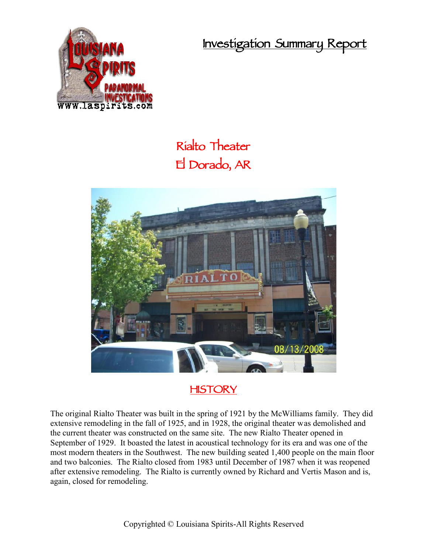**Investigation Summary Report**



## **Rialto Theater El Dorado, AR**



## **HISTORY**

The original Rialto Theater was built in the spring of 1921 by the McWilliams family. They did extensive remodeling in the fall of 1925, and in 1928, the original theater was demolished and the current theater was constructed on the same site. The new Rialto Theater opened in September of 1929. It boasted the latest in acoustical technology for its era and was one of the most modern theaters in the Southwest. The new building seated 1,400 people on the main floor and two balconies. The Rialto closed from 1983 until December of 1987 when it was reopened after extensive remodeling. The Rialto is currently owned by Richard and Vertis Mason and is, again, closed for remodeling.